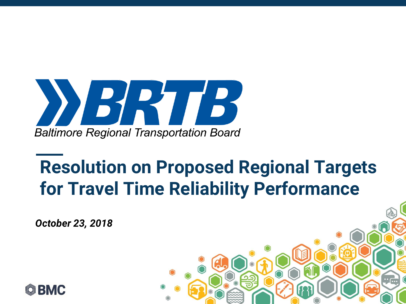

## **Resolution on Proposed Regional Targets for Travel Time Reliability Performance**

*DATE October 23, 2018*

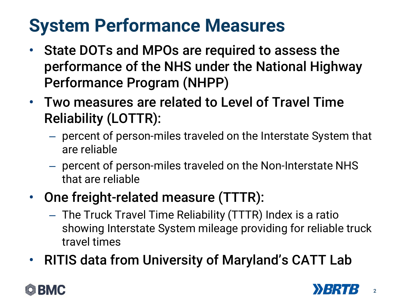# **System Performance Measures**

- State DOTs and MPOs are required to assess the performance of the NHS under the National Highway Performance Program (NHPP)
- Two measures are related to Level of Travel Time Reliability (LOTTR):
	- percent of person-miles traveled on the Interstate System that are reliable
	- percent of person-miles traveled on the Non-Interstate NHS that are reliable
- One freight-related measure (TTTR):
	- The Truck Travel Time Reliability (TTTR) Index is a ratio showing Interstate System mileage providing for reliable truck travel times
- RITIS data from University of Maryland's CATT Lab

### BMC

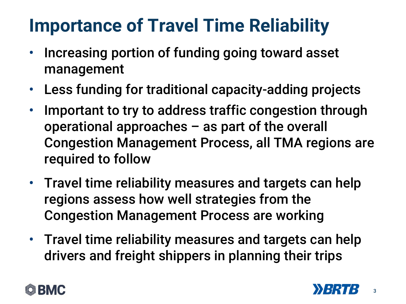## **Importance of Travel Time Reliability**

- Increasing portion of funding going toward asset management
- Less funding for traditional capacity-adding projects
- Important to try to address traffic congestion through operational approaches – as part of the overall Congestion Management Process, all TMA regions are required to follow
- Travel time reliability measures and targets can help regions assess how well strategies from the Congestion Management Process are working
- Travel time reliability measures and targets can help drivers and freight shippers in planning their trips



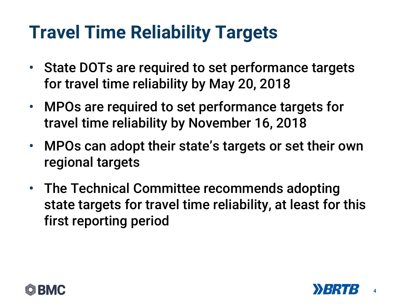## **Travel Time Reliability Targets**

- State DOTs are required to set performance targets for travel time reliability by May 20, 2018
- MPOs are required to set performance targets for travel time reliability by November 16, 2018
- MPOs can adopt their state's targets or set their own regional targets
- The Technical Committee recommends adopting state targets for travel time reliability, at least for this first reporting period



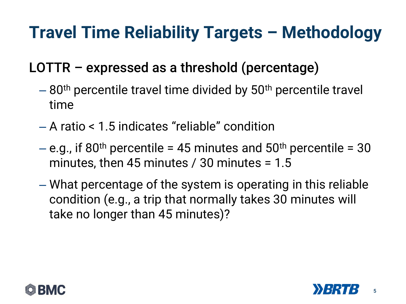## **Travel Time Reliability Targets – Methodology**

### LOTTR – expressed as a threshold (percentage)

- $-80$ <sup>th</sup> percentile travel time divided by 50<sup>th</sup> percentile travel time
- A ratio < 1.5 indicates "reliable" condition
- $-$  e.g., if 80<sup>th</sup> percentile = 45 minutes and 50<sup>th</sup> percentile = 30 minutes, then 45 minutes / 30 minutes =  $1.5$
- What percentage of the system is operating in this reliable condition (e.g., a trip that normally takes 30 minutes will take no longer than 45 minutes)?



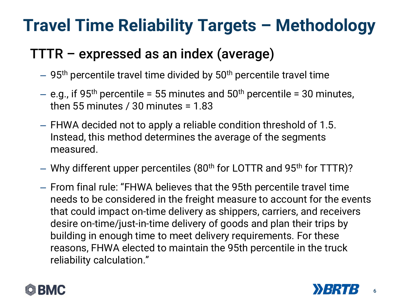## **Travel Time Reliability Targets – Methodology**

#### TTTR – expressed as an index (average)

- $-$  95<sup>th</sup> percentile travel time divided by 50<sup>th</sup> percentile travel time
- $-$  e.g., if 95<sup>th</sup> percentile = 55 minutes and 50<sup>th</sup> percentile = 30 minutes, then 55 minutes  $/$  30 minutes = 1.83
- FHWA decided not to apply a reliable condition threshold of 1.5. Instead, this method determines the average of the segments measured.
- $-$  Why different upper percentiles (80<sup>th</sup> for LOTTR and 95<sup>th</sup> for TTTR)?
- From final rule: "FHWA believes that the 95th percentile travel time needs to be considered in the freight measure to account for the events that could impact on-time delivery as shippers, carriers, and receivers desire on-time/just-in-time delivery of goods and plan their trips by building in enough time to meet delivery requirements. For these reasons, FHWA elected to maintain the 95th percentile in the truck reliability calculation."